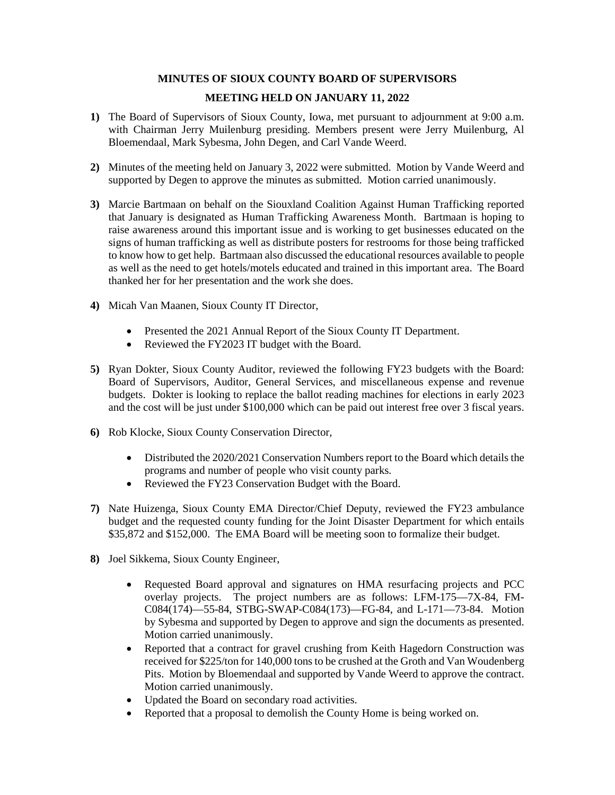## **MINUTES OF SIOUX COUNTY BOARD OF SUPERVISORS**

## **MEETING HELD ON JANUARY 11, 2022**

- **1)** The Board of Supervisors of Sioux County, Iowa, met pursuant to adjournment at 9:00 a.m. with Chairman Jerry Muilenburg presiding. Members present were Jerry Muilenburg, Al Bloemendaal, Mark Sybesma, John Degen, and Carl Vande Weerd.
- **2)** Minutes of the meeting held on January 3, 2022 were submitted. Motion by Vande Weerd and supported by Degen to approve the minutes as submitted. Motion carried unanimously.
- **3)** Marcie Bartmaan on behalf on the Siouxland Coalition Against Human Trafficking reported that January is designated as Human Trafficking Awareness Month. Bartmaan is hoping to raise awareness around this important issue and is working to get businesses educated on the signs of human trafficking as well as distribute posters for restrooms for those being trafficked to know how to get help. Bartmaan also discussed the educational resources available to people as well as the need to get hotels/motels educated and trained in this important area. The Board thanked her for her presentation and the work she does.
- **4)** Micah Van Maanen, Sioux County IT Director,
	- Presented the 2021 Annual Report of the Sioux County IT Department.
	- Reviewed the FY2023 IT budget with the Board.
- **5)** Ryan Dokter, Sioux County Auditor, reviewed the following FY23 budgets with the Board: Board of Supervisors, Auditor, General Services, and miscellaneous expense and revenue budgets. Dokter is looking to replace the ballot reading machines for elections in early 2023 and the cost will be just under \$100,000 which can be paid out interest free over 3 fiscal years.
- **6)** Rob Klocke, Sioux County Conservation Director,
	- Distributed the 2020/2021 Conservation Numbers report to the Board which details the programs and number of people who visit county parks.
	- Reviewed the FY23 Conservation Budget with the Board.
- **7)** Nate Huizenga, Sioux County EMA Director/Chief Deputy, reviewed the FY23 ambulance budget and the requested county funding for the Joint Disaster Department for which entails \$35,872 and \$152,000. The EMA Board will be meeting soon to formalize their budget.
- **8)** Joel Sikkema, Sioux County Engineer,
	- Requested Board approval and signatures on HMA resurfacing projects and PCC overlay projects. The project numbers are as follows: LFM-175—7X-84, FM-C084(174)—55-84, STBG-SWAP-C084(173)—FG-84, and L-171—73-84. Motion by Sybesma and supported by Degen to approve and sign the documents as presented. Motion carried unanimously.
	- Reported that a contract for gravel crushing from Keith Hagedorn Construction was received for \$225/ton for 140,000 tons to be crushed at the Groth and Van Woudenberg Pits. Motion by Bloemendaal and supported by Vande Weerd to approve the contract. Motion carried unanimously.
	- Updated the Board on secondary road activities.
	- Reported that a proposal to demolish the County Home is being worked on.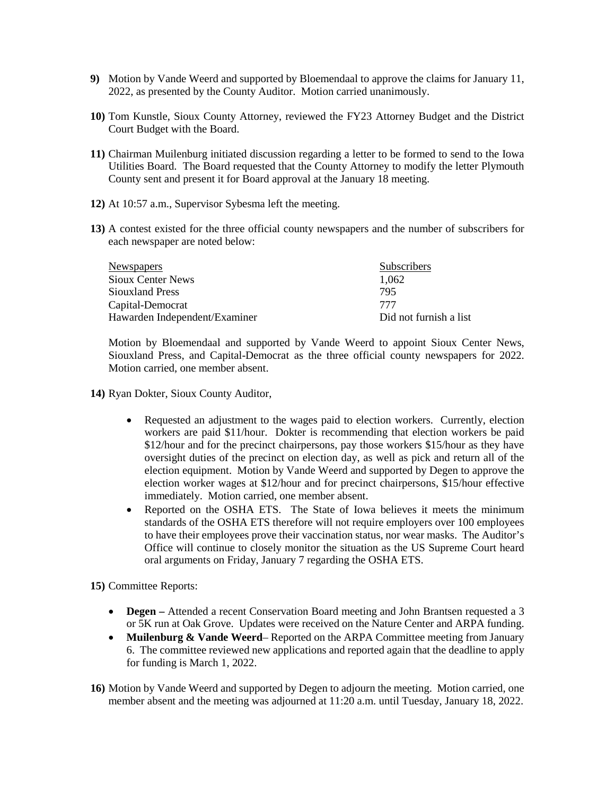- **9)** Motion by Vande Weerd and supported by Bloemendaal to approve the claims for January 11, 2022, as presented by the County Auditor. Motion carried unanimously.
- **10)** Tom Kunstle, Sioux County Attorney, reviewed the FY23 Attorney Budget and the District Court Budget with the Board.
- **11)** Chairman Muilenburg initiated discussion regarding a letter to be formed to send to the Iowa Utilities Board. The Board requested that the County Attorney to modify the letter Plymouth County sent and present it for Board approval at the January 18 meeting.
- **12)** At 10:57 a.m., Supervisor Sybesma left the meeting.
- **13)** A contest existed for the three official county newspapers and the number of subscribers for each newspaper are noted below:

| Newspapers                    | Subscribers            |
|-------------------------------|------------------------|
| <b>Sioux Center News</b>      | 1.062                  |
| Siouxland Press               | 795                    |
| Capital-Democrat              | 777                    |
| Hawarden Independent/Examiner | Did not furnish a list |

Motion by Bloemendaal and supported by Vande Weerd to appoint Sioux Center News, Siouxland Press, and Capital-Democrat as the three official county newspapers for 2022. Motion carried, one member absent.

- **14)** Ryan Dokter, Sioux County Auditor,
	- Requested an adjustment to the wages paid to election workers. Currently, election workers are paid \$11/hour. Dokter is recommending that election workers be paid \$12/hour and for the precinct chairpersons, pay those workers \$15/hour as they have oversight duties of the precinct on election day, as well as pick and return all of the election equipment. Motion by Vande Weerd and supported by Degen to approve the election worker wages at \$12/hour and for precinct chairpersons, \$15/hour effective immediately. Motion carried, one member absent.
	- Reported on the OSHA ETS. The State of Iowa believes it meets the minimum standards of the OSHA ETS therefore will not require employers over 100 employees to have their employees prove their vaccination status, nor wear masks. The Auditor's Office will continue to closely monitor the situation as the US Supreme Court heard oral arguments on Friday, January 7 regarding the OSHA ETS.

**15)** Committee Reports:

- **Degen** Attended a recent Conservation Board meeting and John Brantsen requested a 3 or 5K run at Oak Grove. Updates were received on the Nature Center and ARPA funding.
- **Muilenburg & Vande Weerd** Reported on the ARPA Committee meeting from January 6. The committee reviewed new applications and reported again that the deadline to apply for funding is March 1, 2022.
- **16)** Motion by Vande Weerd and supported by Degen to adjourn the meeting. Motion carried, one member absent and the meeting was adjourned at 11:20 a.m. until Tuesday, January 18, 2022.